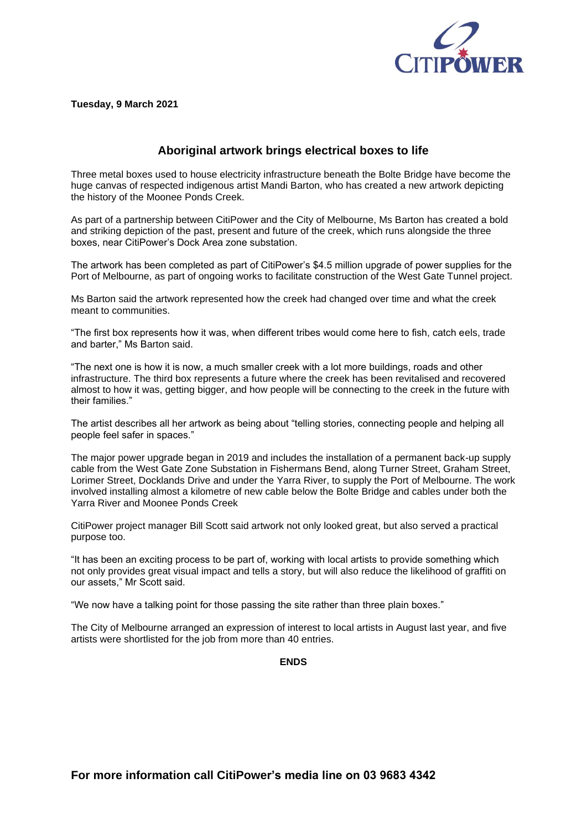

**Tuesday, 9 March 2021**

## **Aboriginal artwork brings electrical boxes to life**

Three metal boxes used to house electricity infrastructure beneath the Bolte Bridge have become the huge canvas of respected indigenous artist Mandi Barton, who has created a new artwork depicting the history of the Moonee Ponds Creek.

As part of a partnership between CitiPower and the City of Melbourne, Ms Barton has created a bold and striking depiction of the past, present and future of the creek, which runs alongside the three boxes, near CitiPower's Dock Area zone substation.

The artwork has been completed as part of CitiPower's \$4.5 million upgrade of power supplies for the Port of Melbourne, as part of ongoing works to facilitate construction of the West Gate Tunnel project.

Ms Barton said the artwork represented how the creek had changed over time and what the creek meant to communities.

"The first box represents how it was, when different tribes would come here to fish, catch eels, trade and barter," Ms Barton said.

"The next one is how it is now, a much smaller creek with a lot more buildings, roads and other infrastructure. The third box represents a future where the creek has been revitalised and recovered almost to how it was, getting bigger, and how people will be connecting to the creek in the future with their families."

The artist describes all her artwork as being about "telling stories, connecting people and helping all people feel safer in spaces."

The major power upgrade began in 2019 and includes the installation of a permanent back-up supply cable from the West Gate Zone Substation in Fishermans Bend, along Turner Street, Graham Street, Lorimer Street, Docklands Drive and under the Yarra River, to supply the Port of Melbourne. The work involved installing almost a kilometre of new cable below the Bolte Bridge and cables under both the Yarra River and Moonee Ponds Creek

CitiPower project manager Bill Scott said artwork not only looked great, but also served a practical purpose too.

"It has been an exciting process to be part of, working with local artists to provide something which not only provides great visual impact and tells a story, but will also reduce the likelihood of graffiti on our assets," Mr Scott said.

"We now have a talking point for those passing the site rather than three plain boxes."

The City of Melbourne arranged an expression of interest to local artists in August last year, and five artists were shortlisted for the job from more than 40 entries.

**ENDS**